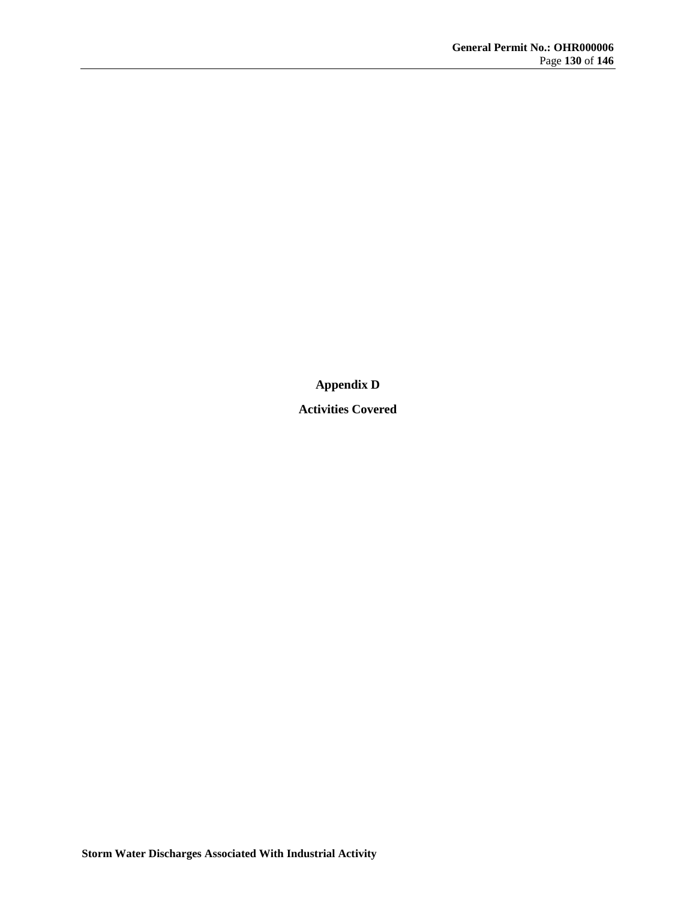**Appendix D**

**Activities Covered**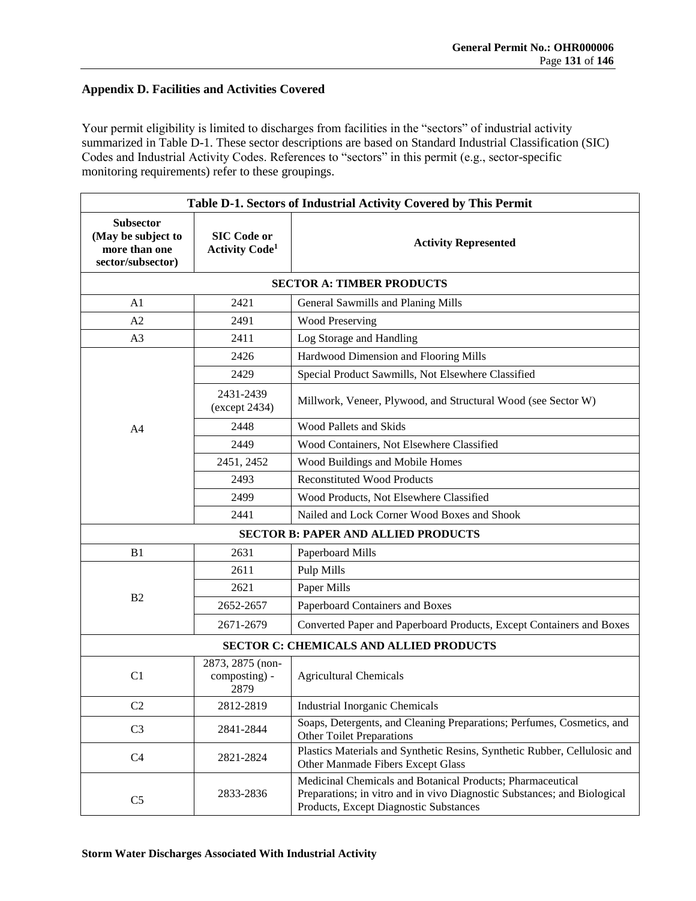## **Appendix D. Facilities and Activities Covered**

Your permit eligibility is limited to discharges from facilities in the "sectors" of industrial activity summarized in Table D-1. These sector descriptions are based on Standard Industrial Classification (SIC) Codes and Industrial Activity Codes. References to "sectors" in this permit (e.g., sector-specific monitoring requirements) refer to these groupings.

| Table D-1. Sectors of Industrial Activity Covered by This Permit             |                                                         |                                                                                                                                                                                  |  |  |
|------------------------------------------------------------------------------|---------------------------------------------------------|----------------------------------------------------------------------------------------------------------------------------------------------------------------------------------|--|--|
| <b>Subsector</b><br>(May be subject to<br>more than one<br>sector/subsector) | <b>SIC Code or</b><br><b>Activity Code</b> <sup>1</sup> | <b>Activity Represented</b>                                                                                                                                                      |  |  |
| <b>SECTOR A: TIMBER PRODUCTS</b>                                             |                                                         |                                                                                                                                                                                  |  |  |
| A <sub>1</sub>                                                               | 2421                                                    | General Sawmills and Planing Mills                                                                                                                                               |  |  |
| A <sub>2</sub>                                                               | 2491                                                    | <b>Wood Preserving</b>                                                                                                                                                           |  |  |
| A <sub>3</sub>                                                               | 2411                                                    | Log Storage and Handling                                                                                                                                                         |  |  |
|                                                                              | 2426                                                    | Hardwood Dimension and Flooring Mills                                                                                                                                            |  |  |
|                                                                              | 2429                                                    | Special Product Sawmills, Not Elsewhere Classified                                                                                                                               |  |  |
|                                                                              | 2431-2439<br>(except 2434)                              | Millwork, Veneer, Plywood, and Structural Wood (see Sector W)                                                                                                                    |  |  |
| A <sub>4</sub>                                                               | 2448                                                    | <b>Wood Pallets and Skids</b>                                                                                                                                                    |  |  |
|                                                                              | 2449                                                    | Wood Containers, Not Elsewhere Classified                                                                                                                                        |  |  |
|                                                                              | 2451, 2452                                              | Wood Buildings and Mobile Homes                                                                                                                                                  |  |  |
|                                                                              | 2493                                                    | <b>Reconstituted Wood Products</b>                                                                                                                                               |  |  |
|                                                                              | 2499                                                    | Wood Products, Not Elsewhere Classified                                                                                                                                          |  |  |
|                                                                              | 2441                                                    | Nailed and Lock Corner Wood Boxes and Shook                                                                                                                                      |  |  |
|                                                                              |                                                         | <b>SECTOR B: PAPER AND ALLIED PRODUCTS</b>                                                                                                                                       |  |  |
| B <sub>1</sub>                                                               | 2631                                                    | Paperboard Mills                                                                                                                                                                 |  |  |
|                                                                              | 2611                                                    | Pulp Mills                                                                                                                                                                       |  |  |
|                                                                              | 2621                                                    | Paper Mills                                                                                                                                                                      |  |  |
| B <sub>2</sub>                                                               | 2652-2657                                               | Paperboard Containers and Boxes                                                                                                                                                  |  |  |
|                                                                              | 2671-2679                                               | Converted Paper and Paperboard Products, Except Containers and Boxes                                                                                                             |  |  |
| <b>SECTOR C: CHEMICALS AND ALLIED PRODUCTS</b>                               |                                                         |                                                                                                                                                                                  |  |  |
| C <sub>1</sub>                                                               | 2873, 2875 (non-<br>composting) -<br>2879               | <b>Agricultural Chemicals</b>                                                                                                                                                    |  |  |
| C <sub>2</sub>                                                               | 2812-2819                                               | <b>Industrial Inorganic Chemicals</b>                                                                                                                                            |  |  |
| C <sub>3</sub>                                                               | 2841-2844                                               | Soaps, Detergents, and Cleaning Preparations; Perfumes, Cosmetics, and<br><b>Other Toilet Preparations</b>                                                                       |  |  |
| C <sub>4</sub>                                                               | 2821-2824                                               | Plastics Materials and Synthetic Resins, Synthetic Rubber, Cellulosic and<br>Other Manmade Fibers Except Glass                                                                   |  |  |
| C <sub>5</sub>                                                               | 2833-2836                                               | Medicinal Chemicals and Botanical Products; Pharmaceutical<br>Preparations; in vitro and in vivo Diagnostic Substances; and Biological<br>Products, Except Diagnostic Substances |  |  |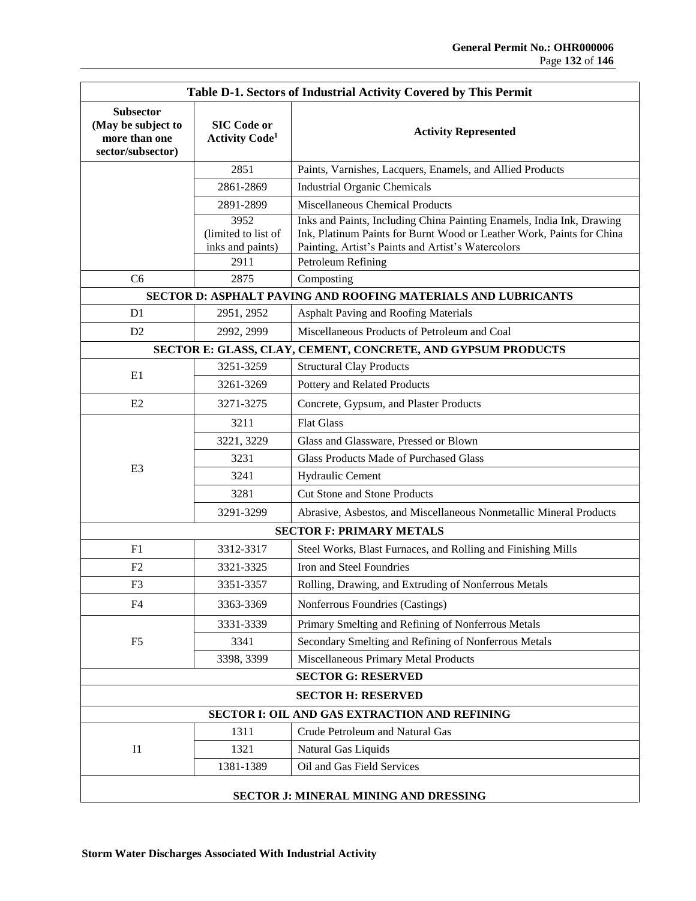| Table D-1. Sectors of Industrial Activity Covered by This Permit             |                                                         |                                                                                                                                                                                                      |  |  |
|------------------------------------------------------------------------------|---------------------------------------------------------|------------------------------------------------------------------------------------------------------------------------------------------------------------------------------------------------------|--|--|
| <b>Subsector</b><br>(May be subject to<br>more than one<br>sector/subsector) | <b>SIC Code or</b><br><b>Activity Code</b> <sup>1</sup> | <b>Activity Represented</b>                                                                                                                                                                          |  |  |
|                                                                              | 2851                                                    | Paints, Varnishes, Lacquers, Enamels, and Allied Products                                                                                                                                            |  |  |
|                                                                              | 2861-2869                                               | <b>Industrial Organic Chemicals</b>                                                                                                                                                                  |  |  |
|                                                                              | 2891-2899                                               | Miscellaneous Chemical Products                                                                                                                                                                      |  |  |
|                                                                              | 3952<br>(limited to list of<br>inks and paints)         | Inks and Paints, Including China Painting Enamels, India Ink, Drawing<br>Ink, Platinum Paints for Burnt Wood or Leather Work, Paints for China<br>Painting, Artist's Paints and Artist's Watercolors |  |  |
|                                                                              | 2911                                                    | Petroleum Refining                                                                                                                                                                                   |  |  |
| C <sub>6</sub>                                                               | 2875                                                    | Composting                                                                                                                                                                                           |  |  |
| SECTOR D: ASPHALT PAVING AND ROOFING MATERIALS AND LUBRICANTS                |                                                         |                                                                                                                                                                                                      |  |  |
| D1                                                                           | 2951, 2952                                              | Asphalt Paving and Roofing Materials                                                                                                                                                                 |  |  |
| D2                                                                           | 2992, 2999                                              | Miscellaneous Products of Petroleum and Coal                                                                                                                                                         |  |  |
| SECTOR E: GLASS, CLAY, CEMENT, CONCRETE, AND GYPSUM PRODUCTS                 |                                                         |                                                                                                                                                                                                      |  |  |
| E1                                                                           | 3251-3259                                               | <b>Structural Clay Products</b>                                                                                                                                                                      |  |  |
|                                                                              | 3261-3269                                               | Pottery and Related Products                                                                                                                                                                         |  |  |
| E2                                                                           | 3271-3275                                               | Concrete, Gypsum, and Plaster Products                                                                                                                                                               |  |  |
|                                                                              | 3211                                                    | <b>Flat Glass</b>                                                                                                                                                                                    |  |  |
|                                                                              | 3221, 3229                                              | Glass and Glassware, Pressed or Blown                                                                                                                                                                |  |  |
| E <sub>3</sub>                                                               | 3231                                                    | <b>Glass Products Made of Purchased Glass</b>                                                                                                                                                        |  |  |
|                                                                              | 3241                                                    | Hydraulic Cement                                                                                                                                                                                     |  |  |
|                                                                              | 3281                                                    | Cut Stone and Stone Products                                                                                                                                                                         |  |  |
|                                                                              | 3291-3299                                               | Abrasive, Asbestos, and Miscellaneous Nonmetallic Mineral Products                                                                                                                                   |  |  |
|                                                                              |                                                         | <b>SECTOR F: PRIMARY METALS</b>                                                                                                                                                                      |  |  |
| F <sub>1</sub>                                                               | 3312-3317                                               | Steel Works, Blast Furnaces, and Rolling and Finishing Mills                                                                                                                                         |  |  |
| F <sub>2</sub>                                                               | 3321-3325                                               | Iron and Steel Foundries                                                                                                                                                                             |  |  |
| F <sub>3</sub>                                                               | 3351-3357                                               | Rolling, Drawing, and Extruding of Nonferrous Metals                                                                                                                                                 |  |  |
| F4                                                                           | 3363-3369                                               | Nonferrous Foundries (Castings)                                                                                                                                                                      |  |  |
|                                                                              | 3331-3339                                               | Primary Smelting and Refining of Nonferrous Metals                                                                                                                                                   |  |  |
| F <sub>5</sub>                                                               | 3341                                                    | Secondary Smelting and Refining of Nonferrous Metals                                                                                                                                                 |  |  |
|                                                                              | 3398, 3399                                              | Miscellaneous Primary Metal Products                                                                                                                                                                 |  |  |
| <b>SECTOR G: RESERVED</b>                                                    |                                                         |                                                                                                                                                                                                      |  |  |
| <b>SECTOR H: RESERVED</b>                                                    |                                                         |                                                                                                                                                                                                      |  |  |
| SECTOR I: OIL AND GAS EXTRACTION AND REFINING                                |                                                         |                                                                                                                                                                                                      |  |  |
| I <sub>1</sub>                                                               | 1311                                                    | Crude Petroleum and Natural Gas                                                                                                                                                                      |  |  |
|                                                                              | 1321                                                    | Natural Gas Liquids                                                                                                                                                                                  |  |  |
|                                                                              | 1381-1389                                               | Oil and Gas Field Services                                                                                                                                                                           |  |  |
| SECTOR J: MINERAL MINING AND DRESSING                                        |                                                         |                                                                                                                                                                                                      |  |  |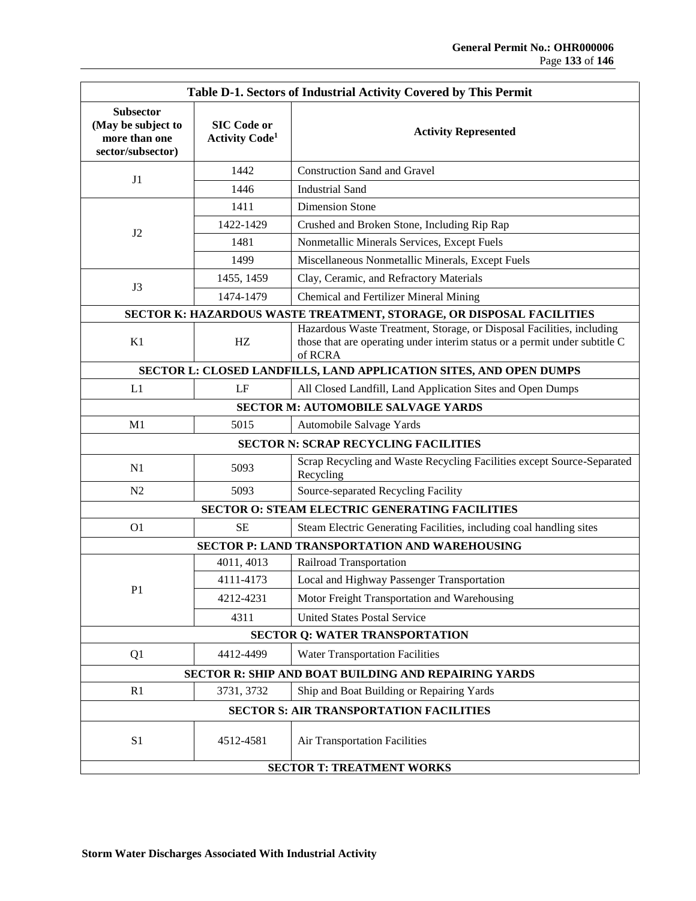| Table D-1. Sectors of Industrial Activity Covered by This Permit             |                                                         |                                                                                                                                                                |  |  |
|------------------------------------------------------------------------------|---------------------------------------------------------|----------------------------------------------------------------------------------------------------------------------------------------------------------------|--|--|
| <b>Subsector</b><br>(May be subject to<br>more than one<br>sector/subsector) | <b>SIC Code or</b><br><b>Activity Code</b> <sup>1</sup> | <b>Activity Represented</b>                                                                                                                                    |  |  |
|                                                                              | 1442                                                    | <b>Construction Sand and Gravel</b>                                                                                                                            |  |  |
| J1                                                                           | 1446                                                    | <b>Industrial Sand</b>                                                                                                                                         |  |  |
|                                                                              | 1411                                                    | <b>Dimension Stone</b>                                                                                                                                         |  |  |
| J2                                                                           | 1422-1429                                               | Crushed and Broken Stone, Including Rip Rap                                                                                                                    |  |  |
|                                                                              | 1481                                                    | Nonmetallic Minerals Services, Except Fuels                                                                                                                    |  |  |
|                                                                              | 1499                                                    | Miscellaneous Nonmetallic Minerals, Except Fuels                                                                                                               |  |  |
| J3                                                                           | 1455, 1459                                              | Clay, Ceramic, and Refractory Materials                                                                                                                        |  |  |
|                                                                              | 1474-1479                                               | Chemical and Fertilizer Mineral Mining                                                                                                                         |  |  |
| SECTOR K: HAZARDOUS WASTE TREATMENT, STORAGE, OR DISPOSAL FACILITIES         |                                                         |                                                                                                                                                                |  |  |
| K1                                                                           | HZ                                                      | Hazardous Waste Treatment, Storage, or Disposal Facilities, including<br>those that are operating under interim status or a permit under subtitle C<br>of RCRA |  |  |
| SECTOR L: CLOSED LANDFILLS, LAND APPLICATION SITES, AND OPEN DUMPS           |                                                         |                                                                                                                                                                |  |  |
| L1                                                                           | LF                                                      | All Closed Landfill, Land Application Sites and Open Dumps                                                                                                     |  |  |
|                                                                              |                                                         | <b>SECTOR M: AUTOMOBILE SALVAGE YARDS</b>                                                                                                                      |  |  |
| M1                                                                           | 5015                                                    | Automobile Salvage Yards                                                                                                                                       |  |  |
| <b>SECTOR N: SCRAP RECYCLING FACILITIES</b>                                  |                                                         |                                                                                                                                                                |  |  |
| N1                                                                           | 5093                                                    | Scrap Recycling and Waste Recycling Facilities except Source-Separated<br>Recycling                                                                            |  |  |
| N2                                                                           | 5093                                                    | Source-separated Recycling Facility                                                                                                                            |  |  |
|                                                                              |                                                         | SECTOR O: STEAM ELECTRIC GENERATING FACILITIES                                                                                                                 |  |  |
| O <sub>1</sub>                                                               | <b>SE</b>                                               | Steam Electric Generating Facilities, including coal handling sites                                                                                            |  |  |
| SECTOR P: LAND TRANSPORTATION AND WAREHOUSING                                |                                                         |                                                                                                                                                                |  |  |
|                                                                              | 4011, 4013                                              | Railroad Transportation                                                                                                                                        |  |  |
| P1                                                                           | 4111-4173                                               | Local and Highway Passenger Transportation                                                                                                                     |  |  |
|                                                                              | 4212-4231                                               | Motor Freight Transportation and Warehousing                                                                                                                   |  |  |
|                                                                              | 4311                                                    | <b>United States Postal Service</b>                                                                                                                            |  |  |
| <b>SECTOR Q: WATER TRANSPORTATION</b>                                        |                                                         |                                                                                                                                                                |  |  |
| Q1                                                                           | 4412-4499                                               | Water Transportation Facilities                                                                                                                                |  |  |
| SECTOR R: SHIP AND BOAT BUILDING AND REPAIRING YARDS                         |                                                         |                                                                                                                                                                |  |  |
| R1                                                                           | 3731, 3732                                              | Ship and Boat Building or Repairing Yards                                                                                                                      |  |  |
|                                                                              |                                                         | <b>SECTOR S: AIR TRANSPORTATION FACILITIES</b>                                                                                                                 |  |  |
| S1                                                                           | 4512-4581                                               | Air Transportation Facilities                                                                                                                                  |  |  |
| <b>SECTOR T: TREATMENT WORKS</b>                                             |                                                         |                                                                                                                                                                |  |  |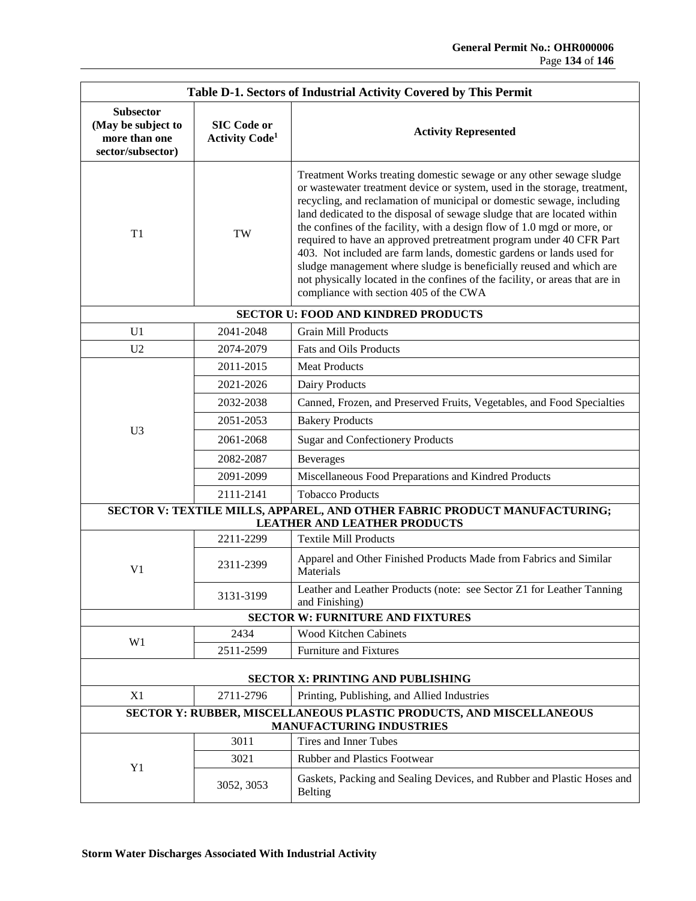| Table D-1. Sectors of Industrial Activity Covered by This Permit             |                                                         |                                                                                                                                                                                                                                                                                                                                                                                                                                                                                                                                                                                                                                                                                                                                 |  |  |
|------------------------------------------------------------------------------|---------------------------------------------------------|---------------------------------------------------------------------------------------------------------------------------------------------------------------------------------------------------------------------------------------------------------------------------------------------------------------------------------------------------------------------------------------------------------------------------------------------------------------------------------------------------------------------------------------------------------------------------------------------------------------------------------------------------------------------------------------------------------------------------------|--|--|
| <b>Subsector</b><br>(May be subject to<br>more than one<br>sector/subsector) | <b>SIC Code or</b><br><b>Activity Code</b> <sup>1</sup> | <b>Activity Represented</b>                                                                                                                                                                                                                                                                                                                                                                                                                                                                                                                                                                                                                                                                                                     |  |  |
| T <sub>1</sub>                                                               | TW                                                      | Treatment Works treating domestic sewage or any other sewage sludge<br>or wastewater treatment device or system, used in the storage, treatment,<br>recycling, and reclamation of municipal or domestic sewage, including<br>land dedicated to the disposal of sewage sludge that are located within<br>the confines of the facility, with a design flow of 1.0 mgd or more, or<br>required to have an approved pretreatment program under 40 CFR Part<br>403. Not included are farm lands, domestic gardens or lands used for<br>sludge management where sludge is beneficially reused and which are<br>not physically located in the confines of the facility, or areas that are in<br>compliance with section 405 of the CWA |  |  |
| <b>SECTOR U: FOOD AND KINDRED PRODUCTS</b>                                   |                                                         |                                                                                                                                                                                                                                                                                                                                                                                                                                                                                                                                                                                                                                                                                                                                 |  |  |
| U1                                                                           | 2041-2048                                               | <b>Grain Mill Products</b>                                                                                                                                                                                                                                                                                                                                                                                                                                                                                                                                                                                                                                                                                                      |  |  |
| U <sub>2</sub>                                                               | 2074-2079                                               | Fats and Oils Products                                                                                                                                                                                                                                                                                                                                                                                                                                                                                                                                                                                                                                                                                                          |  |  |
|                                                                              | 2011-2015                                               | <b>Meat Products</b>                                                                                                                                                                                                                                                                                                                                                                                                                                                                                                                                                                                                                                                                                                            |  |  |
|                                                                              | 2021-2026                                               | Dairy Products                                                                                                                                                                                                                                                                                                                                                                                                                                                                                                                                                                                                                                                                                                                  |  |  |
|                                                                              | 2032-2038                                               | Canned, Frozen, and Preserved Fruits, Vegetables, and Food Specialties                                                                                                                                                                                                                                                                                                                                                                                                                                                                                                                                                                                                                                                          |  |  |
|                                                                              | 2051-2053                                               | <b>Bakery Products</b>                                                                                                                                                                                                                                                                                                                                                                                                                                                                                                                                                                                                                                                                                                          |  |  |
| U <sub>3</sub>                                                               | 2061-2068                                               | <b>Sugar and Confectionery Products</b>                                                                                                                                                                                                                                                                                                                                                                                                                                                                                                                                                                                                                                                                                         |  |  |
|                                                                              | 2082-2087                                               | <b>Beverages</b>                                                                                                                                                                                                                                                                                                                                                                                                                                                                                                                                                                                                                                                                                                                |  |  |
|                                                                              | 2091-2099                                               | Miscellaneous Food Preparations and Kindred Products                                                                                                                                                                                                                                                                                                                                                                                                                                                                                                                                                                                                                                                                            |  |  |
|                                                                              | 2111-2141                                               | <b>Tobacco Products</b>                                                                                                                                                                                                                                                                                                                                                                                                                                                                                                                                                                                                                                                                                                         |  |  |
|                                                                              |                                                         | SECTOR V: TEXTILE MILLS, APPAREL, AND OTHER FABRIC PRODUCT MANUFACTURING;<br><b>LEATHER AND LEATHER PRODUCTS</b>                                                                                                                                                                                                                                                                                                                                                                                                                                                                                                                                                                                                                |  |  |
|                                                                              | 2211-2299                                               | <b>Textile Mill Products</b>                                                                                                                                                                                                                                                                                                                                                                                                                                                                                                                                                                                                                                                                                                    |  |  |
| V1                                                                           | 2311-2399                                               | Apparel and Other Finished Products Made from Fabrics and Similar<br>Materials                                                                                                                                                                                                                                                                                                                                                                                                                                                                                                                                                                                                                                                  |  |  |
|                                                                              | 3131-3199                                               | Leather and Leather Products (note: see Sector Z1 for Leather Tanning<br>and Finishing)                                                                                                                                                                                                                                                                                                                                                                                                                                                                                                                                                                                                                                         |  |  |
|                                                                              |                                                         | <b>SECTOR W: FURNITURE AND FIXTURES</b>                                                                                                                                                                                                                                                                                                                                                                                                                                                                                                                                                                                                                                                                                         |  |  |
| W <sub>1</sub>                                                               | 2434                                                    | Wood Kitchen Cabinets                                                                                                                                                                                                                                                                                                                                                                                                                                                                                                                                                                                                                                                                                                           |  |  |
|                                                                              | 2511-2599                                               | <b>Furniture and Fixtures</b>                                                                                                                                                                                                                                                                                                                                                                                                                                                                                                                                                                                                                                                                                                   |  |  |
| <b>SECTOR X: PRINTING AND PUBLISHING</b>                                     |                                                         |                                                                                                                                                                                                                                                                                                                                                                                                                                                                                                                                                                                                                                                                                                                                 |  |  |
| X1                                                                           | 2711-2796                                               | Printing, Publishing, and Allied Industries                                                                                                                                                                                                                                                                                                                                                                                                                                                                                                                                                                                                                                                                                     |  |  |
| SECTOR Y: RUBBER, MISCELLANEOUS PLASTIC PRODUCTS, AND MISCELLANEOUS          |                                                         |                                                                                                                                                                                                                                                                                                                                                                                                                                                                                                                                                                                                                                                                                                                                 |  |  |
|                                                                              | 3011                                                    | <b>MANUFACTURING INDUSTRIES</b><br>Tires and Inner Tubes                                                                                                                                                                                                                                                                                                                                                                                                                                                                                                                                                                                                                                                                        |  |  |
| Y <sub>1</sub>                                                               | 3021                                                    | Rubber and Plastics Footwear                                                                                                                                                                                                                                                                                                                                                                                                                                                                                                                                                                                                                                                                                                    |  |  |
|                                                                              |                                                         |                                                                                                                                                                                                                                                                                                                                                                                                                                                                                                                                                                                                                                                                                                                                 |  |  |
|                                                                              | 3052, 3053                                              | Gaskets, Packing and Sealing Devices, and Rubber and Plastic Hoses and<br><b>Belting</b>                                                                                                                                                                                                                                                                                                                                                                                                                                                                                                                                                                                                                                        |  |  |